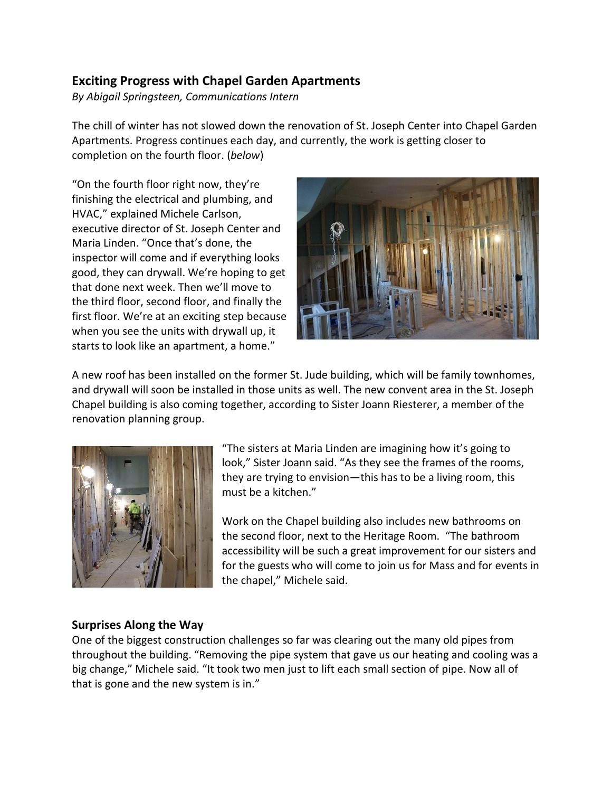## **Exciting Progress with Chapel Garden Apartments**

*By Abigail Springsteen, Communications Intern*

The chill of winter has not slowed down the renovation of St. Joseph Center into Chapel Garden Apartments. Progress continues each day, and currently, the work is getting closer to completion on the fourth floor. (*below*)

"On the fourth floor right now, they're finishing the electrical and plumbing, and HVAC," explained Michele Carlson, executive director of St. Joseph Center and Maria Linden. "Once that's done, the inspector will come and if everything looks good, they can drywall. We're hoping to get that done next week. Then we'll move to the third floor, second floor, and finally the first floor. We're at an exciting step because when you see the units with drywall up, it starts to look like an apartment, a home."



A new roof has been installed on the former St. Jude building, which will be family townhomes, and drywall will soon be installed in those units as well. The new convent area in the St. Joseph Chapel building is also coming together, according to Sister Joann Riesterer, a member of the renovation planning group.



"The sisters at Maria Linden are imagining how it's going to look," Sister Joann said. "As they see the frames of the rooms, they are trying to envision—this has to be a living room, this must be a kitchen."

Work on the Chapel building also includes new bathrooms on the second floor, next to the Heritage Room. "The bathroom accessibility will be such a great improvement for our sisters and for the guests who will come to join us for Mass and for events in the chapel," Michele said.

## **Surprises Along the Way**

One of the biggest construction challenges so far was clearing out the many old pipes from throughout the building. "Removing the pipe system that gave us our heating and cooling was a big change," Michele said. "It took two men just to lift each small section of pipe. Now all of that is gone and the new system is in."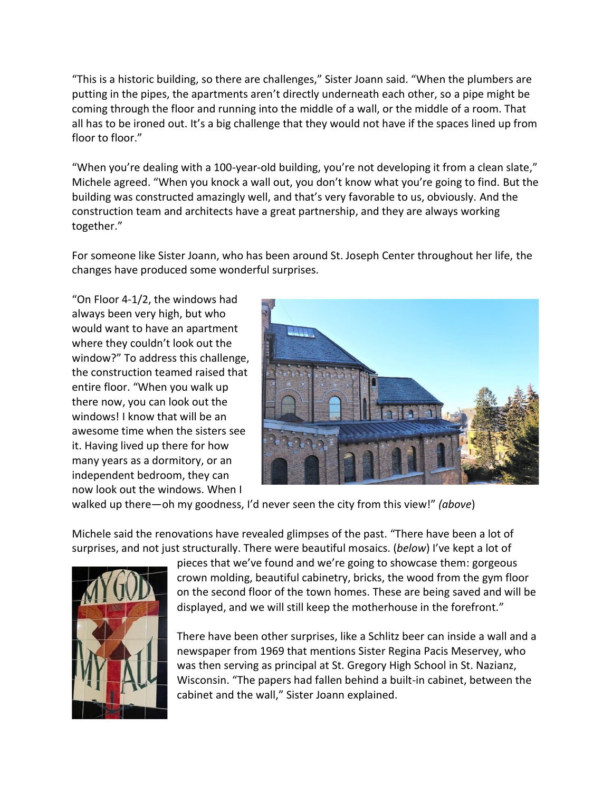"This is a historic building, so there are challenges," Sister Joann said. "When the plumbers are putting in the pipes, the apartments aren't directly underneath each other, so a pipe might be coming through the floor and running into the middle of a wall, or the middle of a room. That all has to be ironed out. It's a big challenge that they would not have if the spaces lined up from floor to floor."

"When you're dealing with a 100-year-old building, you're not developing it from a clean slate," Michele agreed. "When you knock a wall out, you don't know what you're going to find. But the building was constructed amazingly well, and that's very favorable to us, obviously. And the construction team and architects have a great partnership, and they are always working together."

For someone like Sister Joann, who has been around St. Joseph Center throughout her life, the changes have produced some wonderful surprises.

"On Floor 4-1/2, the windows had always been very high, but who would want to have an apartment where they couldn't look out the window?" To address this challenge, the construction teamed raised that entire floor. "When you walk up there now, you can look out the windows! I know that will be an awesome time when the sisters see it. Having lived up there for how many years as a dormitory, or an independent bedroom, they can now look out the windows. When I



walked up there—oh my goodness, I'd never seen the city from this view!" *(above*)

Michele said the renovations have revealed glimpses of the past. "There have been a lot of surprises, and not just structurally. There were beautiful mosaics. (*below*) I've kept a lot of



pieces that we've found and we're going to showcase them: gorgeous crown molding, beautiful cabinetry, bricks, the wood from the gym floor on the second floor of the town homes. These are being saved and will be displayed, and we will still keep the motherhouse in the forefront."

There have been other surprises, like a Schlitz beer can inside a wall and a newspaper from 1969 that mentions Sister Regina Pacis Meservey, who was then serving as principal at St. Gregory High School in St. Nazianz, Wisconsin. "The papers had fallen behind a built-in cabinet, between the cabinet and the wall," Sister Joann explained.